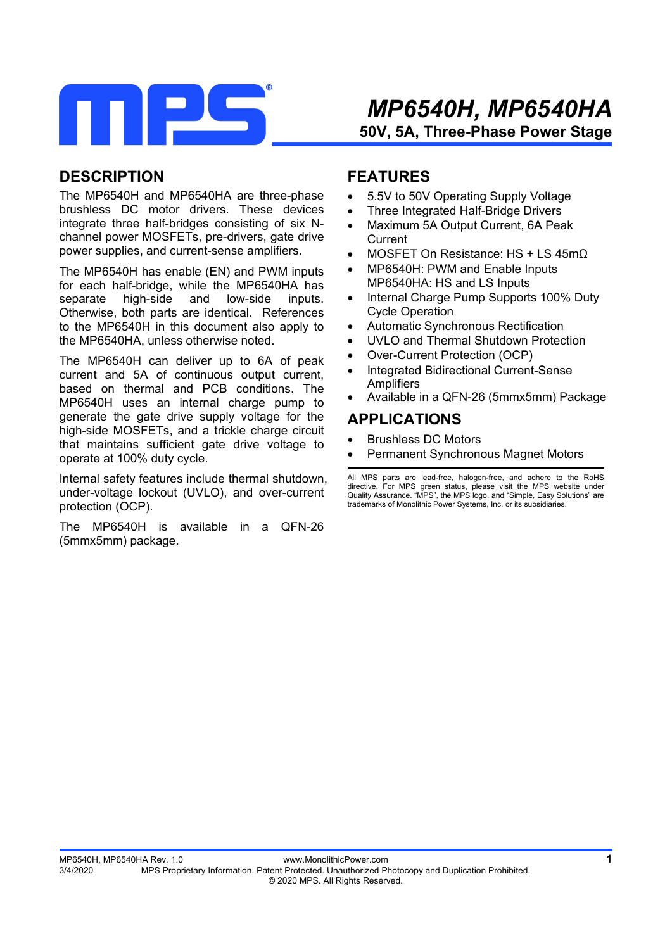

### **DESCRIPTION**

The MP6540H and MP6540HA are three-phase brushless DC motor drivers. These devices integrate three half-bridges consisting of six Nchannel power MOSFETs, pre-drivers, gate drive power supplies, and current-sense amplifiers.

The MP6540H has enable (EN) and PWM inputs for each half-bridge, while the MP6540HA has separate high-side and low-side inputs. Otherwise, both parts are identical. References to the MP6540H in this document also apply to the MP6540HA, unless otherwise noted.

The MP6540H can deliver up to 6A of peak current and 5A of continuous output current, based on thermal and PCB conditions. The MP6540H uses an internal charge pump to generate the gate drive supply voltage for the high-side MOSFETs, and a trickle charge circuit that maintains sufficient gate drive voltage to operate at 100% duty cycle.

Internal safety features include thermal shutdown, under-voltage lockout (UVLO), and over-current protection (OCP).

The MP6540H is available in a QFN-26 (5mmx5mm) package.

### **FEATURES**

- 5.5V to 50V Operating Supply Voltage
- Three Integrated Half-Bridge Drivers
- Maximum 5A Output Current, 6A Peak **Current**
- MOSFET On Resistance: HS + LS 45mΩ
- MP6540H: PWM and Enable Inputs MP6540HA: HS and LS Inputs
- Internal Charge Pump Supports 100% Duty Cycle Operation
- Automatic Synchronous Rectification
- UVLO and Thermal Shutdown Protection
- Over-Current Protection (OCP)
- Integrated Bidirectional Current-Sense **Amplifiers**
- Available in a QFN-26 (5mmx5mm) Package

### **APPLICATIONS**

- Brushless DC Motors
- Permanent Synchronous Magnet Motors

All MPS parts are lead-free, halogen-free, and adhere to the RoHS directive. For MPS green status, please visit the MPS website under Quality Assurance. "MPS", the MPS logo, and "Simple, Easy Solutions" are trademarks of Monolithic Power Systems, Inc. or its subsidiaries.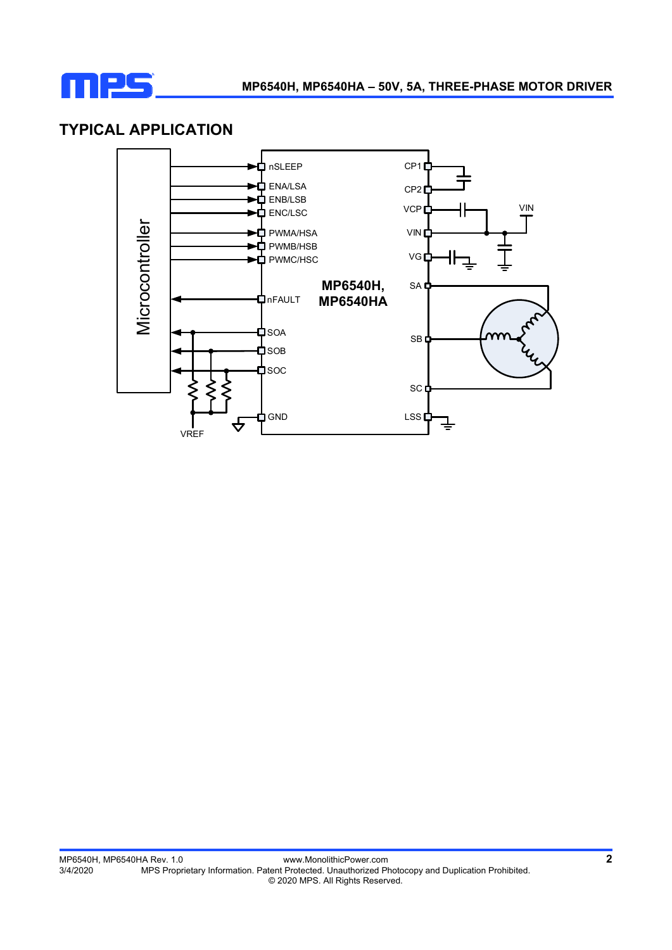

### **TYPICAL APPLICATION**

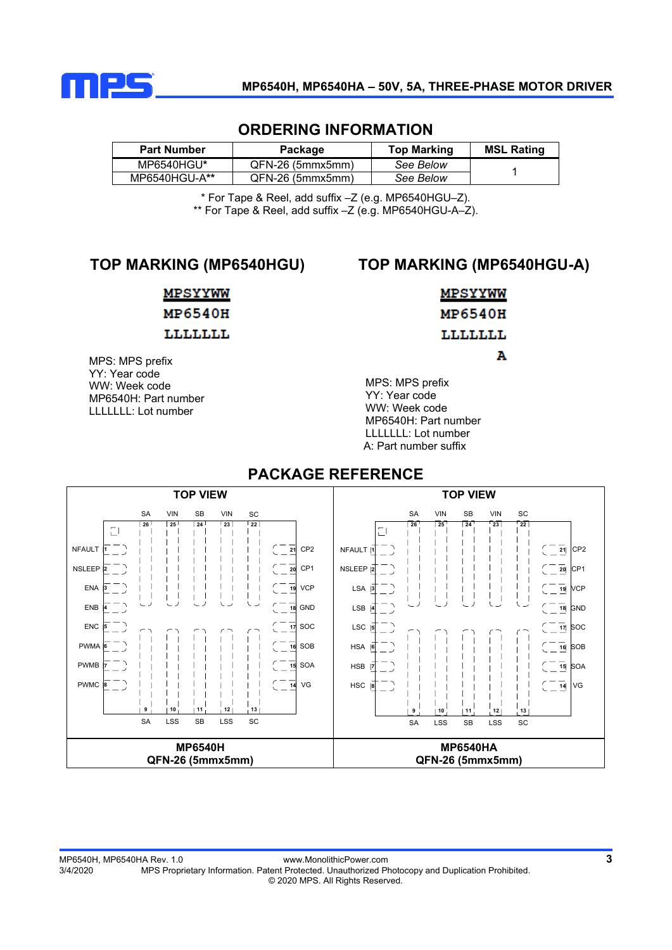

#### **ORDERING INFORMATION**

| <b>Part Number</b> | Package          | <b>Top Marking</b> | <b>MSL Rating</b> |
|--------------------|------------------|--------------------|-------------------|
| MP6540HGU*         | QFN-26 (5mmx5mm) | See Below          |                   |
| MP6540HGU-A**      | QFN-26 (5mmx5mm) | See Below          |                   |

\* For Tape & Reel, add suffix –Z (e.g. MP6540HGU–Z). \*\* For Tape & Reel, add suffix –Z (e.g. MP6540HGU-A–Z).

### **TOP MARKING (MP6540HGU)**

### **TOP MARKING (MP6540HGU-A)**

#### **MPSYYWW**

### **MP6540H**

#### LLLLLLL

MPS: MPS prefix YY: Year code WW: Week code MP6540H: Part number LLLLLLL: Lot number

### **MPSYYWW MP6540H** LLLLLLL Ά

MPS: MPS prefix YY: Year code WW: Week code MP6540H: Part number LLLLLLL: Lot number A: Part number suffix

#### **TOP VIEW TOP VIEW**  SA VIN SB VIN SC SB SA VIN SB VIN SC SB **26 25 22 24 23 26 25 22 24 23**  $\Box$ NFAULT **1** CP2 **21** CP2 **21** NFAULT **1**  $\overline{\phantom{a}}$ NSLEEP CP1  $-\frac{1}{20}$  $\overline{20}$ CP1 NSLEEP **2 2**  $\overline{\phantom{a}}$  $\overline{\phantom{a}}$ ENA  $\overline{\phantom{a}}$ l,  $\overline{\phantom{a}}$  $\overline{\phantom{a}}$ VCP LSA ı **19** VCP  $\overline{1}$ - 1  $\overline{\phantom{a}}$ **19 3 3** ENB GND LSB GND **18 4 18 4** ENC SOC **17** LSC **17** SOC **5 5** PWMA SOB HSA **16 6 6** SOB **16** PWMB HSB **7**  $\overline{\phantom{a}}$ SOA **15 7** SOA **15** VG  $\begin{array}{c} \begin{array}{c} \begin{array}{c} \end{array} \\ \end{array}$ PWMC **8 14** VG HSC **8 9 10 11 12 13 9 10 11 12 13** SA LSS SB LSS SC SA LSS SB LSS SC **MP6540H MP6540HA QFN-26 (5mmx5mm) QFN-26 (5mmx5mm)**

#### **PACKAGE REFERENCE**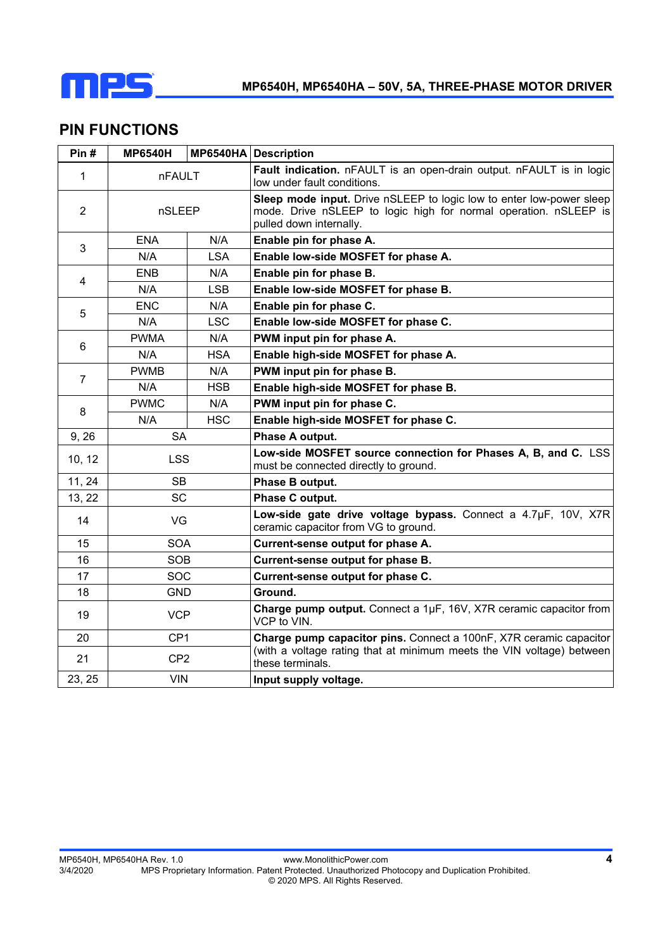

### **PIN FUNCTIONS**

| Pin#             | <b>MP6540H</b>  |            | MP6540HA Description                                                                                                                                                |  |
|------------------|-----------------|------------|---------------------------------------------------------------------------------------------------------------------------------------------------------------------|--|
| $\mathbf{1}$     | <b>nFAULT</b>   |            | Fault indication. nFAULT is an open-drain output. nFAULT is in logic<br>low under fault conditions.                                                                 |  |
| $\overline{2}$   | nSLEEP          |            | Sleep mode input. Drive nSLEEP to logic low to enter low-power sleep<br>mode. Drive nSLEEP to logic high for normal operation. nSLEEP is<br>pulled down internally. |  |
| 3                | <b>ENA</b>      | N/A        | Enable pin for phase A.                                                                                                                                             |  |
|                  | N/A             | <b>LSA</b> | Enable low-side MOSFET for phase A.                                                                                                                                 |  |
| 4                | <b>ENB</b>      | N/A        | Enable pin for phase B.                                                                                                                                             |  |
|                  | N/A             | <b>LSB</b> | Enable low-side MOSFET for phase B.                                                                                                                                 |  |
| 5                | <b>ENC</b>      | N/A        | Enable pin for phase C.                                                                                                                                             |  |
|                  | N/A             | <b>LSC</b> | Enable low-side MOSFET for phase C.                                                                                                                                 |  |
|                  | <b>PWMA</b>     | N/A        | PWM input pin for phase A.                                                                                                                                          |  |
| 6                | N/A             | <b>HSA</b> | Enable high-side MOSFET for phase A.                                                                                                                                |  |
| $\overline{7}$   | <b>PWMB</b>     | N/A        | PWM input pin for phase B.                                                                                                                                          |  |
|                  | N/A             | <b>HSB</b> | Enable high-side MOSFET for phase B.                                                                                                                                |  |
| 8                | <b>PWMC</b>     | N/A        | PWM input pin for phase C.                                                                                                                                          |  |
|                  | N/A             | <b>HSC</b> | Enable high-side MOSFET for phase C.                                                                                                                                |  |
| 9, 26            | <b>SA</b>       |            | Phase A output.                                                                                                                                                     |  |
| 10, 12           | <b>LSS</b>      |            | Low-side MOSFET source connection for Phases A, B, and C. LSS<br>must be connected directly to ground.                                                              |  |
| 11, 24           | <b>SB</b>       |            | Phase B output.                                                                                                                                                     |  |
| 13, 22           | <b>SC</b>       |            | Phase C output.                                                                                                                                                     |  |
| 14               | VG              |            | Low-side gate drive voltage bypass. Connect a 4.7µF, 10V, X7R<br>ceramic capacitor from VG to ground.                                                               |  |
| 15               | <b>SOA</b>      |            | Current-sense output for phase A.                                                                                                                                   |  |
| 16               | <b>SOB</b>      |            | Current-sense output for phase B.                                                                                                                                   |  |
| 17               | SOC             |            | Current-sense output for phase C.                                                                                                                                   |  |
| 18<br><b>GND</b> |                 |            | Ground.                                                                                                                                                             |  |
| 19               | <b>VCP</b>      |            | Charge pump output. Connect a 1µF, 16V, X7R ceramic capacitor from<br>VCP to VIN.                                                                                   |  |
| 20               | CP <sub>1</sub> |            | Charge pump capacitor pins. Connect a 100nF, X7R ceramic capacitor                                                                                                  |  |
| 21               | CP <sub>2</sub> |            | (with a voltage rating that at minimum meets the VIN voltage) between<br>these terminals.                                                                           |  |
| 23, 25           | <b>VIN</b>      |            | Input supply voltage.                                                                                                                                               |  |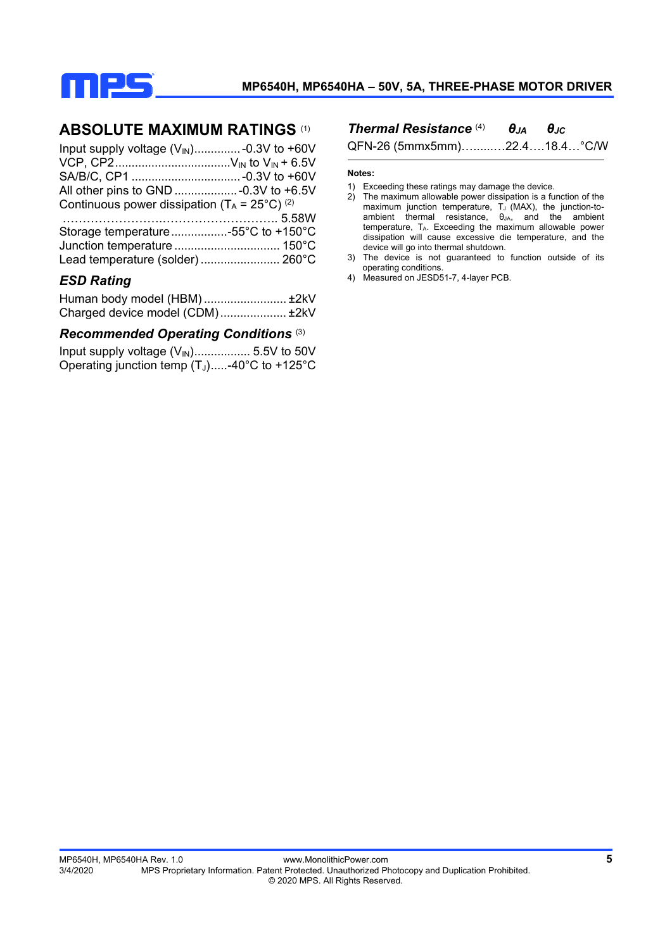

### **ABSOLUTE MAXIMUM RATINGS** (1)

| Input supply voltage $(V_{\text{IN}})$ -0.3V to +60V                |  |
|---------------------------------------------------------------------|--|
|                                                                     |  |
|                                                                     |  |
|                                                                     |  |
| Continuous power dissipation ( $T_A = 25^{\circ}C$ ) <sup>(2)</sup> |  |

| Storage temperature55°C to +150°C |  |
|-----------------------------------|--|
|                                   |  |
| Lead temperature (solder)  260°C  |  |

#### *ESD Rating*

| Human body model (HBM) ±2kV     |  |
|---------------------------------|--|
| Charged device model (CDM) ±2kV |  |

#### *Recommended Operating Conditions* (3)

Input supply voltage (VIN) ................. 5.5V to 50V Operating junction temp  $(T_J)$ .....-40°C to +125°C

*Thermal Resistance* (4) *θJA θJC*

QFN-26 (5mmx5mm)…......…22.4….18.4…°C/W

#### **Notes:**

- 1) Exceeding these ratings may damage the device.
- 2) The maximum allowable power dissipation is a function of the maximum junction temperature,  $T_J$  (MAX), the junction-toambient thermal resistance,  $\theta_{JA}$ , and the ambient temperature, TA. Exceeding the maximum allowable power dissipation will cause excessive die temperature, and the device will go into thermal shutdown.
- 3) The device is not guaranteed to function outside of its operating conditions.
- 4) Measured on JESD51-7, 4-layer PCB.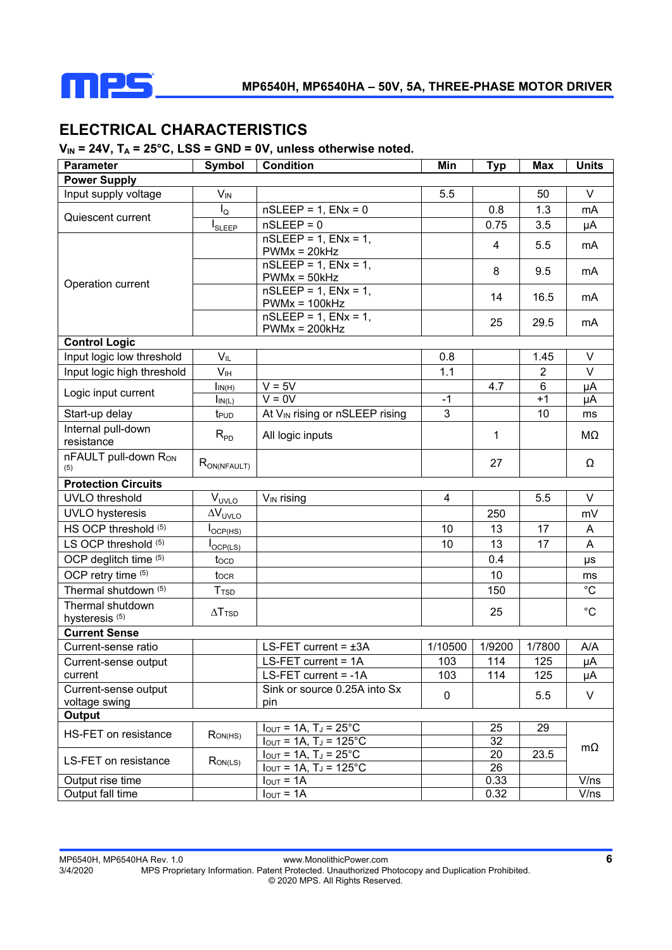

### **ELECTRICAL CHARACTERISTICS**

#### V<sub>IN</sub> = 24V, T<sub>A</sub> = 25°C, LSS = GND = 0V, unless otherwise noted.

| <b>Parameter</b>                              | Symbol                     | <b>Condition</b>                                                                             | Min     | <b>Typ</b>     | Max            | <b>Units</b>   |  |
|-----------------------------------------------|----------------------------|----------------------------------------------------------------------------------------------|---------|----------------|----------------|----------------|--|
| <b>Power Supply</b>                           |                            |                                                                                              |         |                |                |                |  |
| Input supply voltage                          | $\mathsf{V}_{\mathsf{IN}}$ |                                                                                              | 5.5     |                | 50             | $\vee$         |  |
| Quiescent current                             | $I_{\rm Q}$                | $nSLEEP = 1$ , $ENx = 0$                                                                     |         | 0.8            | 1.3            | mA             |  |
|                                               | $I_{SLEEP}$                | $nSLEEP = 0$                                                                                 |         | 0.75           | 3.5            | μA             |  |
|                                               |                            | $nSLEEP = 1$ , $ENx = 1$ ,<br>$PWMx = 20kHz$                                                 |         | $\overline{4}$ | 5.5            | m <sub>A</sub> |  |
| Operation current                             |                            | $nSLEEP = 1$ , $ENx = 1$ ,<br>$PWMx = 50kHz$                                                 |         | 8              | 9.5            | mA             |  |
|                                               |                            | $nSLEEP = 1$ , $ENx = 1$ ,<br>$PWMx = 100kHz$                                                |         | 14             | 16.5           | mA             |  |
|                                               |                            | $nSLEEP = 1$ , $ENx = 1$ ,<br>$PWMx = 200kHz$                                                |         | 25             | 29.5           | mA             |  |
| <b>Control Logic</b>                          |                            |                                                                                              |         |                |                |                |  |
| Input logic low threshold                     | $V_{IL}$                   |                                                                                              | 0.8     |                | 1.45           | V              |  |
| Input logic high threshold                    | V <sub>IH</sub>            |                                                                                              | 1.1     |                | $\overline{2}$ | V              |  |
| Logic input current                           | $\mathsf{In}(H)$           | $V = 5V$                                                                                     |         | 4.7            | 6              | μA             |  |
|                                               | $\mathsf{In}(L)$           | $V = 0V$                                                                                     | $-1$    |                | $+1$           | μA             |  |
| Start-up delay                                | t <sub>PUD</sub>           | At V <sub>IN</sub> rising or nSLEEP rising                                                   | 3       |                | 10             | ms             |  |
| Internal pull-down<br>resistance              | $R_{PD}$                   | All logic inputs                                                                             |         | 1              |                | MΩ             |  |
| nFAULT pull-down Ron<br>(5)                   | $R_{ON(NFAULT)}$           |                                                                                              |         | 27             |                | Ω              |  |
| <b>Protection Circuits</b>                    |                            |                                                                                              |         |                |                |                |  |
| <b>UVLO</b> threshold                         | $V_{UVLO}$                 | $V_{IN}$ rising                                                                              | 4       |                | 5.5            | V              |  |
| <b>UVLO</b> hysteresis                        | $\Delta V_{UVLO}$          |                                                                                              |         | 250            |                | mV             |  |
| HS OCP threshold (5)                          | $I_{\text{OCP(HS)}}$       |                                                                                              | 10      | 13             | 17             | A              |  |
| LS OCP threshold (5)                          | OCP(LS)                    |                                                                                              | 10      | 13             | 17             | A              |  |
| OCP deglitch time (5)                         | tocp                       |                                                                                              |         | 0.4            |                | μs             |  |
| OCP retry time (5)                            | tocr                       |                                                                                              |         | 10             |                | ms             |  |
| Thermal shutdown (5)                          | <b>T</b> <sub>TSD</sub>    |                                                                                              |         | 150            |                | $^{\circ}C$    |  |
| Thermal shutdown<br>hysteresis <sup>(5)</sup> | $\Delta$ T <sub>TSD</sub>  |                                                                                              |         | 25             |                | $^{\circ}C$    |  |
| <b>Current Sense</b>                          |                            |                                                                                              |         |                |                |                |  |
| Current-sense ratio                           |                            | LS-FET current = $\pm 3A$                                                                    | 1/10500 | 1/9200         | 1/7800         | A/A            |  |
| Current-sense output                          |                            | LS-FET current = 1A                                                                          | 103     | 114            | 125            | μA             |  |
| current                                       |                            | LS-FET current = -1A                                                                         | 103     | 114            | 125            | μA             |  |
| Current-sense output                          |                            | Sink or source 0.25A into Sx                                                                 | 0       |                | 5.5            | V              |  |
| voltage swing                                 |                            | pin                                                                                          |         |                |                |                |  |
| Output                                        |                            |                                                                                              |         |                |                |                |  |
| HS-FET on resistance                          | Row(HS)                    | $I_{OUT} = 1A$ , $T_J = 25^{\circ}C$<br>$I_{OUT} = 1A$ , T <sub>J</sub> = $125^{\circ}$ C    |         | 25<br>32       | 29             |                |  |
| <b>LS-FET on resistance</b>                   | Row(LS)                    | $I_{\text{OUT}} = 1A$ , $T_J = 25^{\circ}C$<br>$\overline{IoU}$ = 1A, T <sub>J</sub> = 125°C |         | 20<br>26       | 23.5           | mΩ             |  |
| Output rise time                              |                            | $I_{\text{OUT}} = 1A$                                                                        |         | 0.33           |                | V/ns           |  |
| Output fall time                              |                            | $I_{\text{OUT}} = 1A$                                                                        |         | 0.32           |                | V/ns           |  |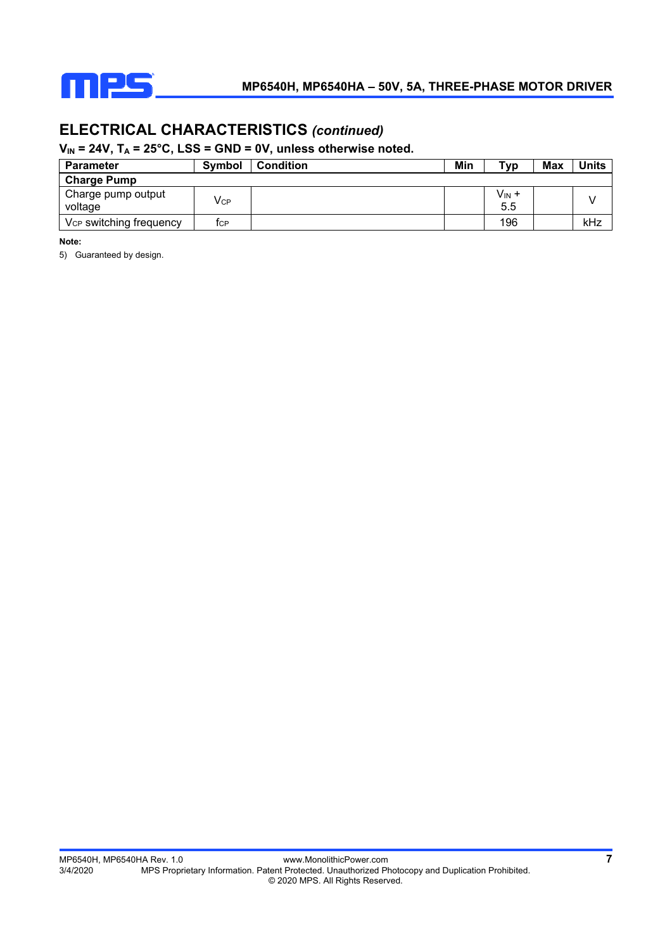

### **ELECTRICAL CHARACTERISTICS** *(continued)*

#### V<sub>IN</sub> = 24V, T<sub>A</sub> = 25°C, LSS = GND = 0V, unless otherwise noted.

| <b>Parameter</b>                    | <b>Symbol</b>              | <b>Condition</b> | Min | Тур                      | Max | <b>Units</b> |
|-------------------------------------|----------------------------|------------------|-----|--------------------------|-----|--------------|
| <b>Charge Pump</b>                  |                            |                  |     |                          |     |              |
| Charge pump output<br>voltage       | $\mathsf{V}_{\mathsf{CP}}$ |                  |     | V <sub>IN</sub> +<br>5.5 |     |              |
| V <sub>CP</sub> switching frequency | TCP                        |                  |     | 196                      |     | kHz          |

**Note:** 

5) Guaranteed by design.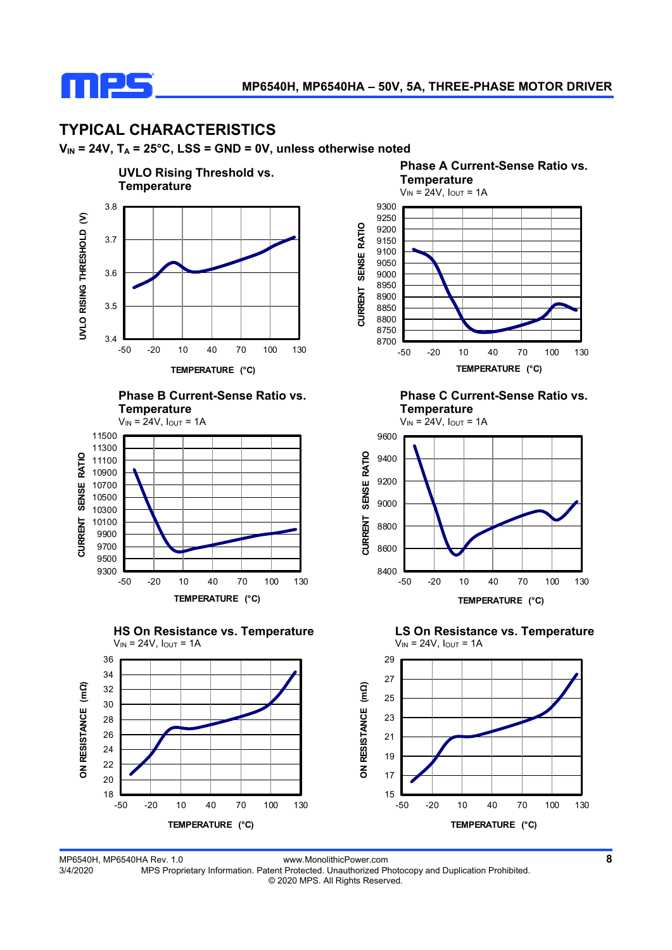

### **TYPICAL CHARACTERISTICS**

**VIN = 24V, TA = 25°C, LSS = GND = 0V, unless otherwise noted**











**Phase C Current-Sense Ratio vs. Temperature** 



MP6540H, MP6540HA Rev. 1.0 www.MonolithicPower.com **8** MPS Proprietary Information. Patent Protected. Unauthorized Photocopy and Duplication Prohibited. © 2020 MPS. All Rights Reserved.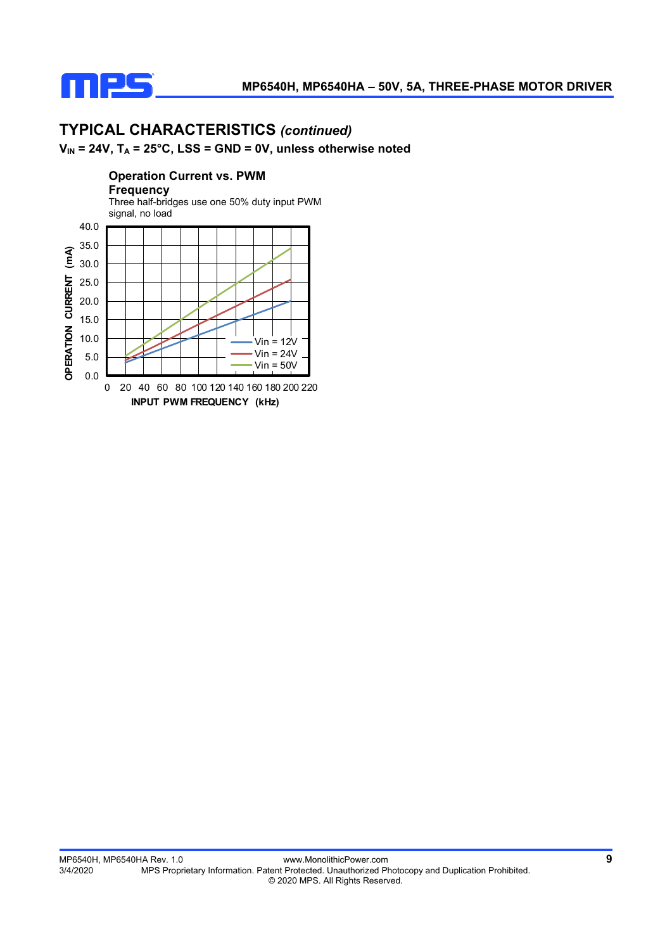

# **TYPICAL CHARACTERISTICS** *(continued)*

### **VIN = 24V, TA = 25°C, LSS = GND = 0V, unless otherwise noted**

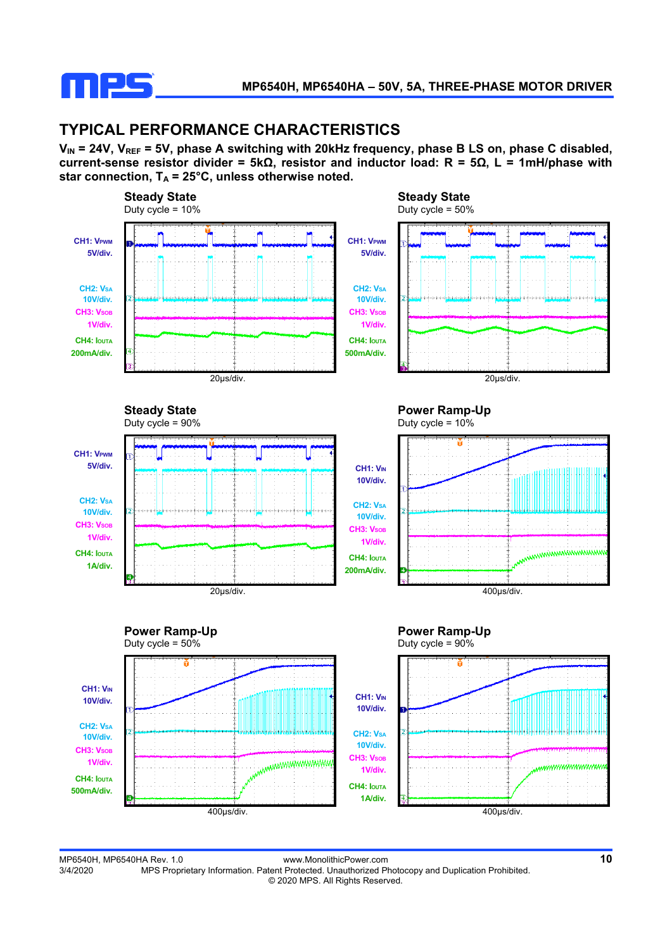

### **TYPICAL PERFORMANCE CHARACTERISTICS**

V<sub>IN</sub> = 24V, V<sub>REF</sub> = 5V, phase A switching with 20kHz frequency, phase B LS on, phase C disabled, **current-sense resistor divider = 5kΩ, resistor and inductor load: R = 5Ω, L = 1mH/phase with**  star connection,  $T_A = 25^\circ \text{C}$ , unless otherwise noted.



MP6540H, MP6540HA Rev. 1.0 www.MonolithicPower.com **10** MPS Proprietary Information. Patent Protected. Unauthorized Photocopy and Duplication Prohibited. © 2020 MPS. All Rights Reserved.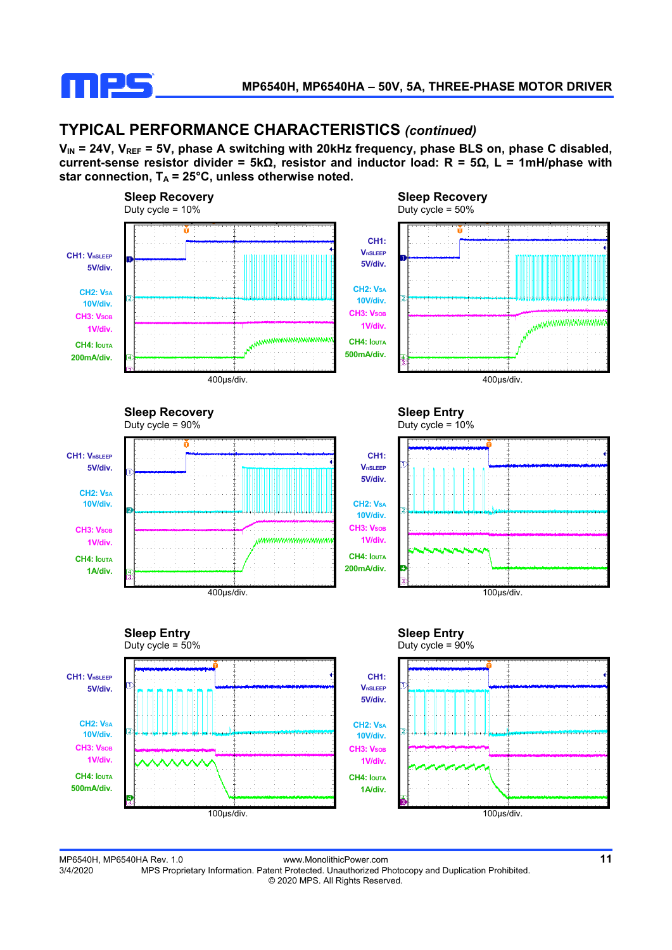

### **TYPICAL PERFORMANCE CHARACTERISTICS** *(continued)*

V<sub>IN</sub> = 24V, V<sub>REF</sub> = 5V, phase A switching with 20kHz frequency, phase BLS on, phase C disabled, **current-sense resistor divider = 5kΩ, resistor and inductor load: R = 5Ω, L = 1mH/phase with**  star connection,  $T_A = 25^\circ \text{C}$ , unless otherwise noted.



MP6540H, MP6540HA Rev. 1.0 www.MonolithicPower.com **11** MPS Proprietary Information. Patent Protected. Unauthorized Photocopy and Duplication Prohibited. © 2020 MPS. All Rights Reserved.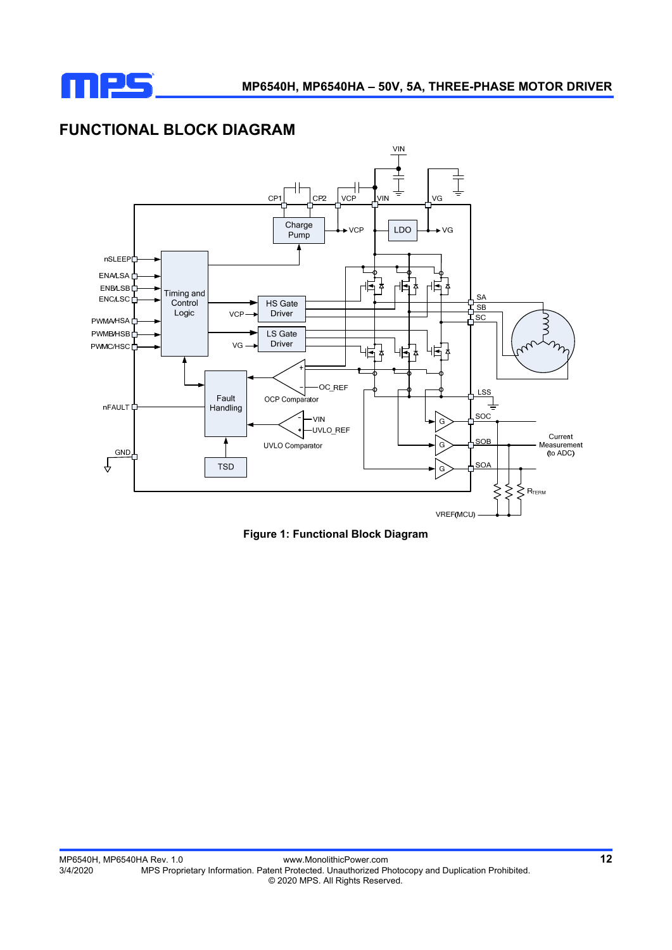

### **FUNCTIONAL BLOCK DIAGRAM**



**Figure 1: Functional Block Diagram**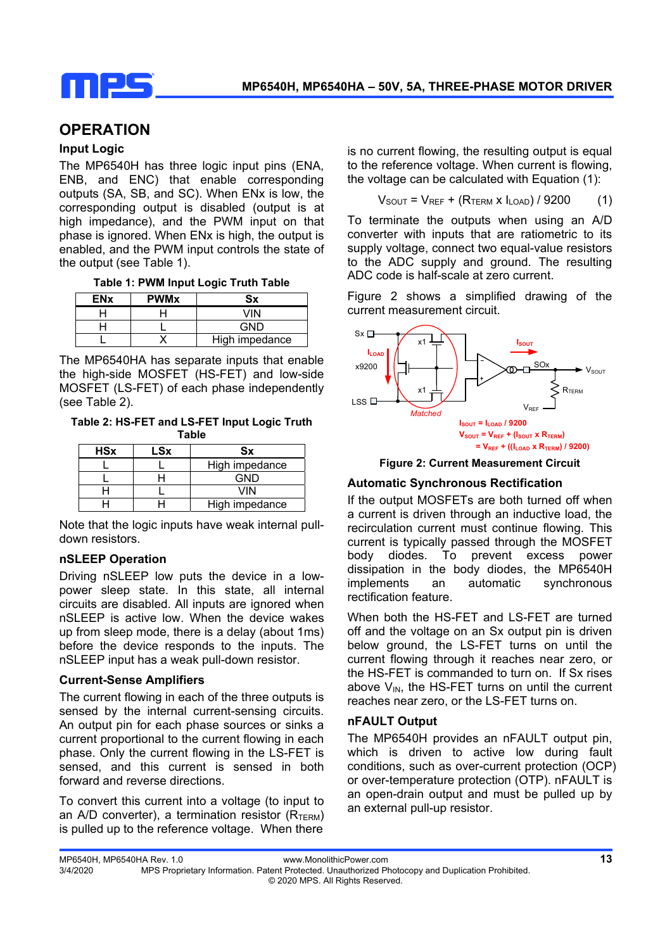

### **OPERATION**

#### **Input Logic**

The MP6540H has three logic input pins (ENA, ENB, and ENC) that enable corresponding outputs (SA, SB, and SC). When ENx is low, the corresponding output is disabled (output is at high impedance), and the PWM input on that phase is ignored. When ENx is high, the output is enabled, and the PWM input controls the state of the output (see Table 1).

| <b>ENx</b> | <b>PWMx</b> | Sx             |
|------------|-------------|----------------|
|            |             | VIN            |
|            |             | GND            |
|            |             | High impedance |

The MP6540HA has separate inputs that enable the high-side MOSFET (HS-FET) and low-side MOSFET (LS-FET) of each phase independently (see Table 2).

**Table 2: HS-FET and LS-FET Input Logic Truth Table** 

| <b>HSx</b> | LSx | Sx             |  |
|------------|-----|----------------|--|
|            |     | High impedance |  |
|            |     | GND            |  |
|            |     | VIN            |  |
|            |     | High impedance |  |

Note that the logic inputs have weak internal pulldown resistors.

#### **nSLEEP Operation**

Driving nSLEEP low puts the device in a lowpower sleep state. In this state, all internal circuits are disabled. All inputs are ignored when nSLEEP is active low. When the device wakes up from sleep mode, there is a delay (about 1ms) before the device responds to the inputs. The nSLEEP input has a weak pull-down resistor.

#### **Current-Sense Amplifiers**

The current flowing in each of the three outputs is sensed by the internal current-sensing circuits. An output pin for each phase sources or sinks a current proportional to the current flowing in each phase. Only the current flowing in the LS-FET is sensed, and this current is sensed in both forward and reverse directions.

To convert this current into a voltage (to input to an A/D converter), a termination resistor  $(R_{TERN})$ is pulled up to the reference voltage. When there

is no current flowing, the resulting output is equal to the reference voltage. When current is flowing, the voltage can be calculated with Equation (1):

$$
V_{SOUT} = V_{REF} + (R_{TERM} \times I_{LOAD}) / 9200
$$
 (1)

To terminate the outputs when using an A/D converter with inputs that are ratiometric to its supply voltage, connect two equal-value resistors to the ADC supply and ground. The resulting ADC code is half-scale at zero current.

Figure 2 shows a simplified drawing of the current measurement circuit.



**Figure 2: Current Measurement Circuit** 

#### **Automatic Synchronous Rectification**

If the output MOSFETs are both turned off when a current is driven through an inductive load, the recirculation current must continue flowing. This current is typically passed through the MOSFET body diodes. To prevent excess power dissipation in the body diodes, the MP6540H implements an automatic synchronous rectification feature.

When both the HS-FET and LS-FET are turned off and the voltage on an Sx output pin is driven below ground, the LS-FET turns on until the current flowing through it reaches near zero, or the HS-FET is commanded to turn on. If Sx rises above  $V_{IN}$ , the HS-FET turns on until the current reaches near zero, or the LS-FET turns on.

#### **nFAULT Output**

The MP6540H provides an nFAULT output pin, which is driven to active low during fault conditions, such as over-current protection (OCP) or over-temperature protection (OTP). nFAULT is an open-drain output and must be pulled up by an external pull-up resistor.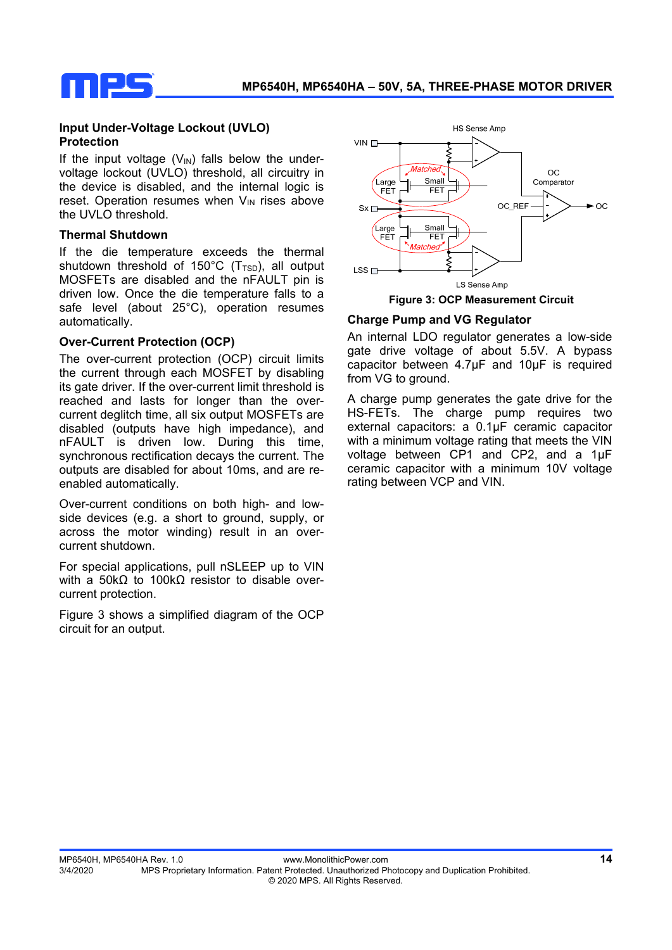

#### **Input Under-Voltage Lockout (UVLO) Protection**

If the input voltage  $(V_{\text{IN}})$  falls below the undervoltage lockout (UVLO) threshold, all circuitry in the device is disabled, and the internal logic is reset. Operation resumes when  $V_{IN}$  rises above the UVLO threshold.

#### **Thermal Shutdown**

If the die temperature exceeds the thermal shutdown threshold of 150 $^{\circ}$ C (T<sub>TSD</sub>), all output MOSFETs are disabled and the nFAULT pin is driven low. Once the die temperature falls to a safe level (about 25°C), operation resumes automatically.

#### **Over-Current Protection (OCP)**

The over-current protection (OCP) circuit limits the current through each MOSFET by disabling its gate driver. If the over-current limit threshold is reached and lasts for longer than the overcurrent deglitch time, all six output MOSFETs are disabled (outputs have high impedance), and nFAULT is driven low. During this time, synchronous rectification decays the current. The outputs are disabled for about 10ms, and are reenabled automatically.

Over-current conditions on both high- and lowside devices (e.g. a short to ground, supply, or across the motor winding) result in an overcurrent shutdown.

For special applications, pull nSLEEP up to VIN with a 50kΩ to 100kΩ resistor to disable overcurrent protection.

Figure 3 shows a simplified diagram of the OCP circuit for an output.



 **Figure 3: OCP Measurement Circuit**

#### **Charge Pump and VG Regulator**

An internal LDO regulator generates a low-side gate drive voltage of about 5.5V. A bypass capacitor between 4.7µF and 10µF is required from VG to ground.

A charge pump generates the gate drive for the HS-FETs. The charge pump requires two external capacitors: a 0.1µF ceramic capacitor with a minimum voltage rating that meets the VIN voltage between CP1 and CP2, and a 1µF ceramic capacitor with a minimum 10V voltage rating between VCP and VIN.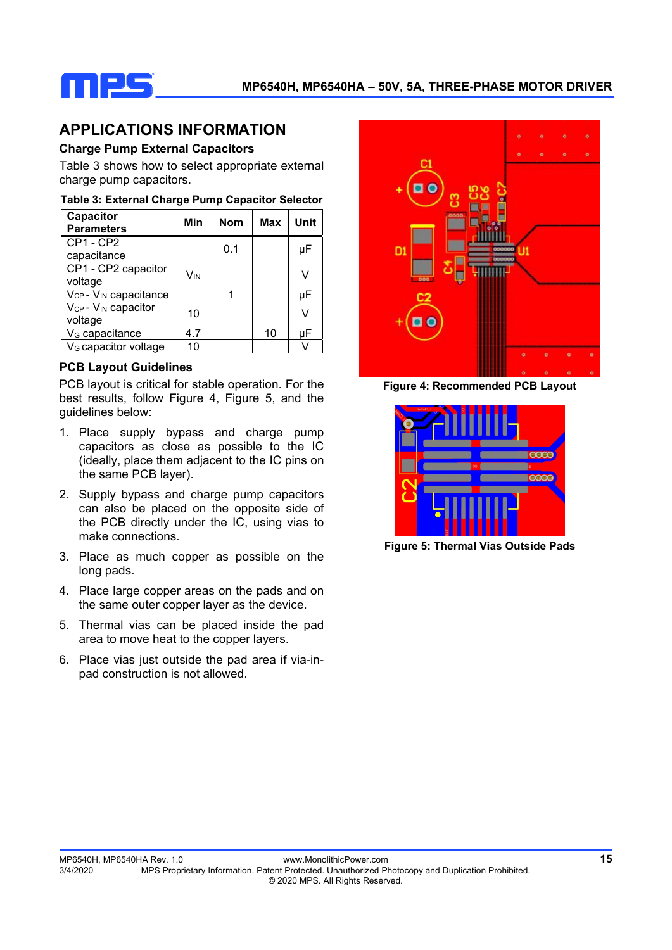

### **APPLICATIONS INFORMATION**

#### **Charge Pump External Capacitors**

Table 3 shows how to select appropriate external charge pump capacitors.

#### **Table 3: External Charge Pump Capacitor Selector**

| Capacitor<br><b>Parameters</b>                         | Min | <b>Nom</b> | <b>Max</b> | Unit |
|--------------------------------------------------------|-----|------------|------------|------|
| CP1 - CP2<br>capacitance                               |     | 0.1        |            | uF   |
| CP1 - CP2 capacitor<br>voltage                         | Vın |            |            |      |
| $V_{CP}$ - $V_{IN}$ capacitance                        |     |            |            | μF   |
| V <sub>CP</sub> - V <sub>IN</sub> capacitor<br>voltage | 10  |            |            | v    |
| V <sub>G</sub> capacitance                             | 4.7 |            | 10         | uF   |
| V <sub>G</sub> capacitor voltage                       | 10  |            |            |      |

#### **PCB Layout Guidelines**

PCB layout is critical for stable operation. For the best results, follow Figure 4, Figure 5, and the guidelines below:

- 1. Place supply bypass and charge pump capacitors as close as possible to the IC (ideally, place them adjacent to the IC pins on the same PCB layer).
- 2. Supply bypass and charge pump capacitors can also be placed on the opposite side of the PCB directly under the IC, using vias to make connections.
- 3. Place as much copper as possible on the long pads.
- 4. Place large copper areas on the pads and on the same outer copper layer as the device.
- 5. Thermal vias can be placed inside the pad area to move heat to the copper layers.
- 6. Place vias just outside the pad area if via-inpad construction is not allowed.



**Figure 4: Recommended PCB Layout** 



**Figure 5: Thermal Vias Outside Pads**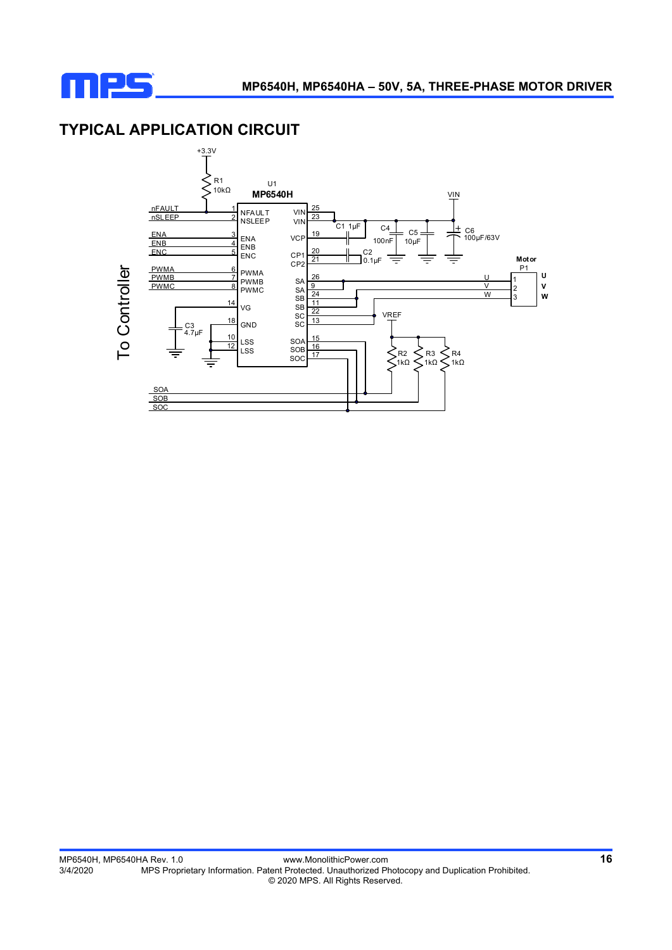![](_page_15_Picture_0.jpeg)

## **TYPICAL APPLICATION CIRCUIT**

![](_page_15_Figure_3.jpeg)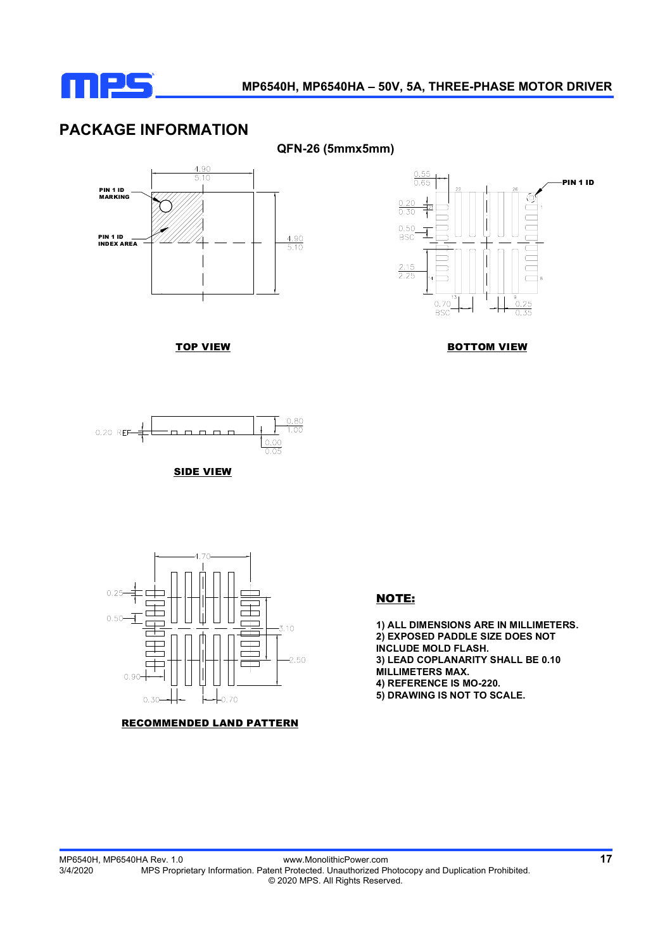![](_page_16_Picture_0.jpeg)

### **PACKAGE INFORMATION**

![](_page_16_Figure_3.jpeg)

TOP VIEW

![](_page_16_Figure_5.jpeg)

BOTTOM VIEW

![](_page_16_Figure_7.jpeg)

![](_page_16_Figure_8.jpeg)

![](_page_16_Figure_9.jpeg)

RECOMMENDED LAND PATTERN

#### NOTE:

**1) ALL DIMENSIONS ARE IN MILLIMETERS. 2) EXPOSED PADDLE SIZE DOES NOT INCLUDE MOLD FLASH. 3) LEAD COPLANARITY SHALL BE 0.10 MILLIMETERS MAX. 4) REFERENCE IS MO-220. 5) DRAWING IS NOT TO SCALE.**